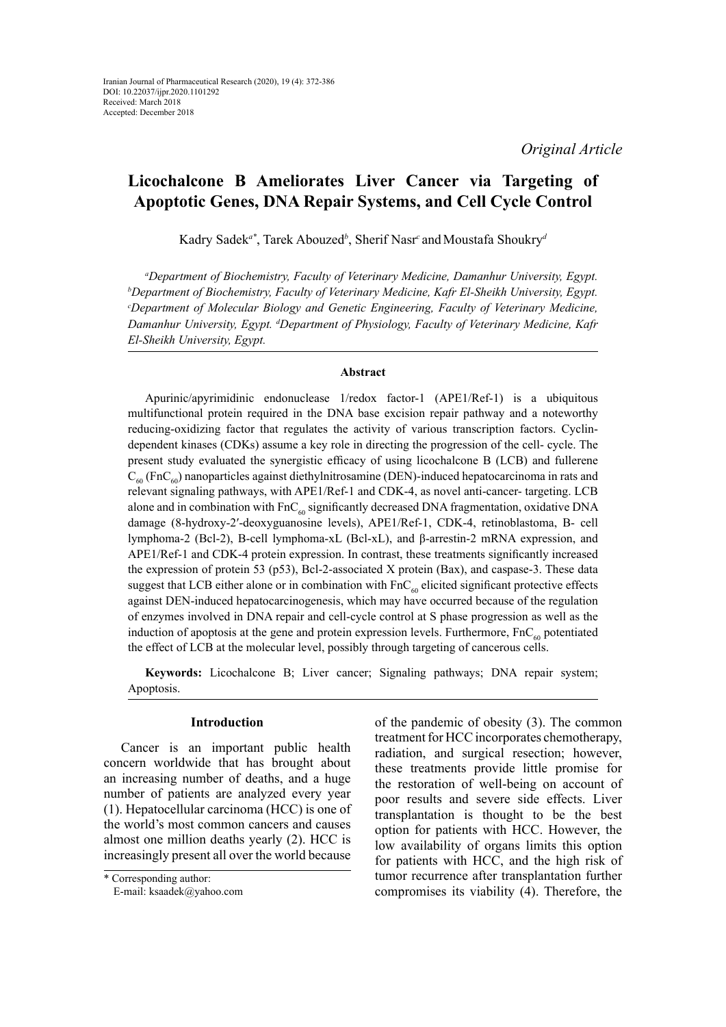*Original Article*

# **Licochalcone B Ameliorates Liver Cancer via Targeting of Apoptotic Genes, DNA Repair Systems, and Cell Cycle Control**

Kadry Sadek*a\**, Tarek Abouzed*<sup>b</sup>* , Sherif Nasr*<sup>c</sup>* andMoustafa Shoukry*<sup>d</sup>*

*a Department of Biochemistry, Faculty of Veterinary Medicine, Damanhur University, Egypt. b Department of Biochemistry, Faculty of Veterinary Medicine, Kafr El-Sheikh University, Egypt. c Department of Molecular Biology and Genetic Engineering, Faculty of Veterinary Medicine, Damanhur University, Egypt. d Department of Physiology, Faculty of Veterinary Medicine, Kafr El-Sheikh University, Egypt.*

## **Abstract**

Apurinic/apyrimidinic endonuclease 1/redox factor-1 (APE1/Ref-1) is a ubiquitous multifunctional protein required in the DNA base excision repair pathway and a noteworthy reducing-oxidizing factor that regulates the activity of various transcription factors. Cyclindependent kinases (CDKs) assume a key role in directing the progression of the cell- cycle. The present study evaluated the synergistic efficacy of using licochalcone B (LCB) and fullerene  $C_{60}$  (FnC<sub>60</sub>) nanoparticles against diethylnitrosamine (DEN)-induced hepatocarcinoma in rats and relevant signaling pathways, with APE1/Ref-1 and CDK-4, as novel anti-cancer- targeting. LCB alone and in combination with  $FnC_{60}$  significantly decreased DNA fragmentation, oxidative DNA damage (8-hydroxy-2′-deoxyguanosine levels), APE1/Ref-1, CDK-4, retinoblastoma, B- cell lymphoma-2 (Bcl-2), B-cell lymphoma-xL (Bcl-xL), and β-arrestin-2 mRNA expression, and APE1/Ref-1 and CDK-4 protein expression. In contrast, these treatments significantly increased the expression of protein 53 (p53), Bcl-2-associated X protein (Bax), and caspase-3. These data suggest that LCB either alone or in combination with  $FnC_{60}$  elicited significant protective effects against DEN-induced hepatocarcinogenesis, which may have occurred because of the regulation of enzymes involved in DNA repair and cell-cycle control at S phase progression as well as the induction of apoptosis at the gene and protein expression levels. Furthermore,  $FnC_{60}$  potentiated the effect of LCB at the molecular level, possibly through targeting of cancerous cells.

**Keywords:** Licochalcone B; Liver cancer; Signaling pathways; DNA repair system; Apoptosis.

## **Introduction**

Cancer is an important public health concern worldwide that has brought about an increasing number of deaths, and a huge number of patients are analyzed every year (1). Hepatocellular carcinoma (HCC) is one of the world's most common cancers and causes almost one million deaths yearly (2). HCC is increasingly present all over the world because

of the pandemic of obesity (3). The common treatment for HCC incorporates chemotherapy, radiation, and surgical resection; however, these treatments provide little promise for the restoration of well-being on account of poor results and severe side effects. Liver transplantation is thought to be the best option for patients with HCC. However, the low availability of organs limits this option for patients with HCC, and the high risk of tumor recurrence after transplantation further compromises its viability (4). Therefore, the

<sup>\*</sup> Corresponding author:

E-mail: ksaadek@yahoo.com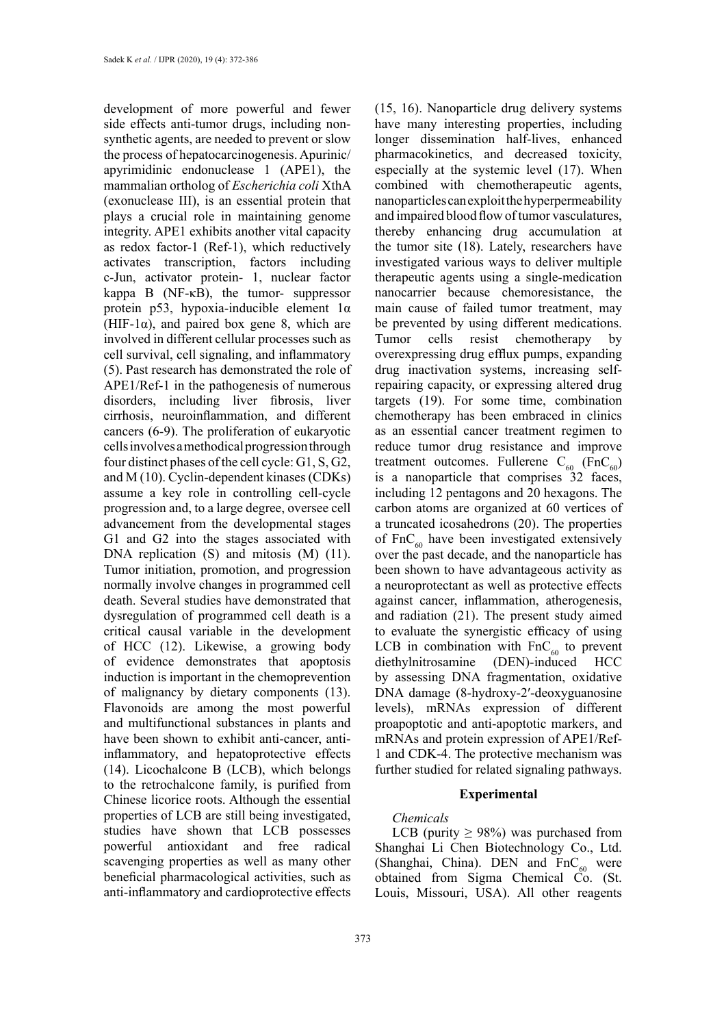development of more powerful and fewer side effects anti-tumor drugs, including nonsynthetic agents, are needed to prevent or slow the process of hepatocarcinogenesis. Apurinic/ apyrimidinic endonuclease 1 (APE1), the mammalian ortholog of *Escherichia coli* XthA (exonuclease III), is an essential protein that plays a crucial role in maintaining genome integrity. APE1 exhibits another vital capacity as redox factor-1 (Ref-1), which reductively activates transcription, factors including c-Jun, activator protein- 1, nuclear factor kappa B (NF-κB), the tumor- suppressor protein p53, hypoxia-inducible element 1α (HIF-1 $\alpha$ ), and paired box gene 8, which are involved in different cellular processes such as cell survival, cell signaling, and inflammatory (5). Past research has demonstrated the role of APE1/Ref-1 in the pathogenesis of numerous disorders, including liver fibrosis, liver cirrhosis, neuroinflammation, and different cancers (6-9). The proliferation of eukaryotic cells involves a methodical progression through four distinct phases of the cell cycle: G1, S, G2, and M (10). Cyclin-dependent kinases (CDKs) assume a key role in controlling cell-cycle progression and, to a large degree, oversee cell advancement from the developmental stages G1 and G2 into the stages associated with DNA replication (S) and mitosis (M) (11). Tumor initiation, promotion, and progression normally involve changes in programmed cell death. Several studies have demonstrated that dysregulation of programmed cell death is a critical causal variable in the development of HCC (12). Likewise, a growing body of evidence demonstrates that apoptosis induction is important in the chemoprevention of malignancy by dietary components (13). Flavonoids are among the most powerful and multifunctional substances in plants and have been shown to exhibit anti-cancer, antiinflammatory, and hepatoprotective effects (14). Licochalcone B (LCB), which belongs to the retrochalcone family, is purified from Chinese licorice roots. Although the essential properties of LCB are still being investigated, studies have shown that LCB possesses powerful antioxidant and free radical scavenging properties as well as many other beneficial pharmacological activities, such as anti-inflammatory and cardioprotective effects

373

(15, 16). Nanoparticle drug delivery systems have many interesting properties, including longer dissemination half-lives, enhanced pharmacokinetics, and decreased toxicity, especially at the systemic level (17). When combined with chemotherapeutic agents, nanoparticles can exploit the hyperpermeability and impaired blood flow of tumor vasculatures, thereby enhancing drug accumulation at the tumor site (18). Lately, researchers have investigated various ways to deliver multiple therapeutic agents using a single-medication nanocarrier because chemoresistance, the main cause of failed tumor treatment, may be prevented by using different medications. Tumor cells resist chemotherapy by overexpressing drug efflux pumps, expanding drug inactivation systems, increasing selfrepairing capacity, or expressing altered drug targets (19). For some time, combination chemotherapy has been embraced in clinics as an essential cancer treatment regimen to reduce tumor drug resistance and improve treatment outcomes. Fullerene  $C_{60}$  (FnC<sub>60</sub>) is a nanoparticle that comprises 32 faces, including 12 pentagons and 20 hexagons. The carbon atoms are organized at 60 vertices of a truncated icosahedrons (20). The properties of  $FnC_{60}$  have been investigated extensively over the past decade, and the nanoparticle has been shown to have advantageous activity as a neuroprotectant as well as protective effects against cancer, inflammation, atherogenesis, and radiation (21). The present study aimed to evaluate the synergistic efficacy of using LCB in combination with  $FnC_{60}$  to prevent<br>diethylnitrosamine (DEN)-induced HCC diethylnitrosamine by assessing DNA fragmentation, oxidative DNA damage (8-hydroxy-2′-deoxyguanosine levels), mRNAs expression of different proapoptotic and anti-apoptotic markers, and mRNAs and protein expression of APE1/Ref-1 and CDK-4. The protective mechanism was further studied for related signaling pathways.

## **Experimental**

### *Chemicals*

LCB (purity  $\geq$  98%) was purchased from Shanghai Li Chen Biotechnology Co., Ltd. (Shanghai, China). DEN and  $FnC_{60}$  were obtained from Sigma Chemical Co. (St. Louis, Missouri, USA). All other reagents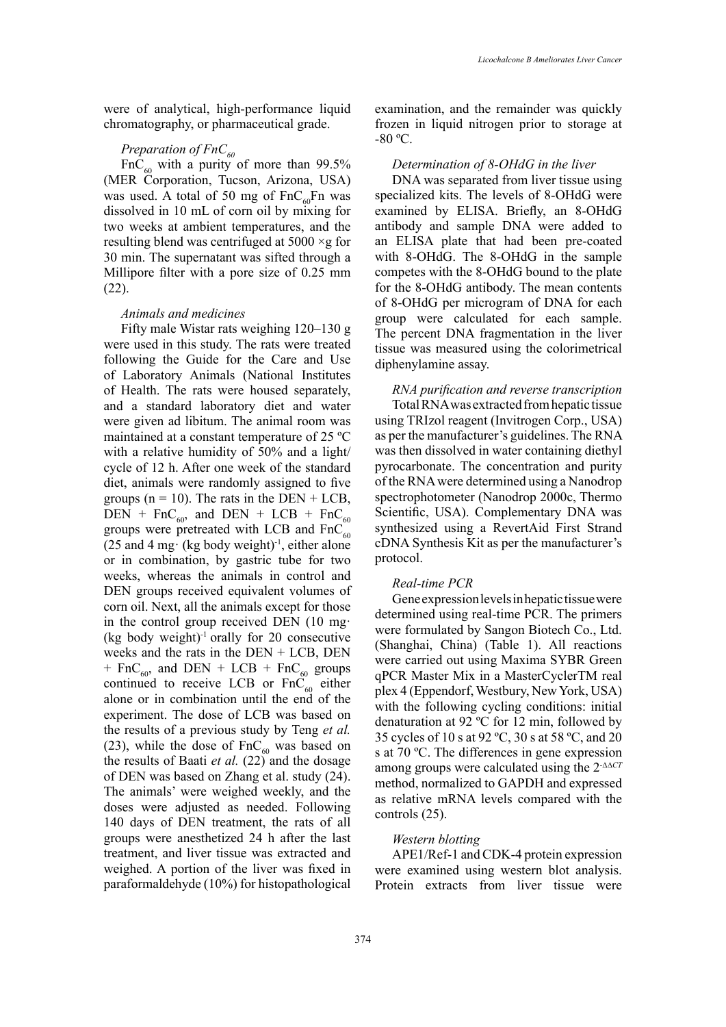were of analytical, high-performance liquid chromatography, or pharmaceutical grade.

# *Preparation of FnC*<sub>60</sub>

 $FnC_{60}$  with a purity of more than 99.5% (MER Corporation, Tucson, Arizona, USA) was used. A total of 50 mg of  $FnC_{60}Fn$  was dissolved in 10 mL of corn oil by mixing for two weeks at ambient temperatures, and the resulting blend was centrifuged at  $5000 \times g$  for 30 min. The supernatant was sifted through a Millipore filter with a pore size of 0.25 mm (22).

### *Animals and medicines*

Fifty male Wistar rats weighing 120–130 g were used in this study. The rats were treated following the Guide for the Care and Use of Laboratory Animals (National Institutes of Health. The rats were housed separately, and a standard laboratory diet and water were given ad libitum. The animal room was maintained at a constant temperature of 25 ºC with a relative humidity of 50% and a light/ cycle of 12 h. After one week of the standard diet, animals were randomly assigned to five groups ( $n = 10$ ). The rats in the DEN + LCB, DEN + FnC<sub>60</sub>, and DEN + LCB + FnC<sub>60</sub> groups were pretreated with LCB and  $FnC_{60}$ (25 and 4 mg $\cdot$  (kg body weight)<sup>-1</sup>, either alone or in combination, by gastric tube for two weeks, whereas the animals in control and DEN groups received equivalent volumes of corn oil. Next, all the animals except for those in the control group received DEN (10 mg· (kg body weight)<sup>-1</sup> orally for 20 consecutive weeks and the rats in the DEN + LCB, DEN + FnC<sub>60</sub>, and DEN + LCB + FnC<sub>60</sub> groups continued to receive LCB or  $FnC_{60}$  either alone or in combination until the end of the experiment. The dose of LCB was based on the results of a previous study by Teng *et al.* (23), while the dose of  $FnC_{60}$  was based on the results of Baati *et al.* (22) and the dosage of DEN was based on Zhang et al. study (24). The animals' were weighed weekly, and the doses were adjusted as needed. Following 140 days of DEN treatment, the rats of all groups were anesthetized 24 h after the last treatment, and liver tissue was extracted and weighed. A portion of the liver was fixed in paraformaldehyde (10%) for histopathological

examination, and the remainder was quickly frozen in liquid nitrogen prior to storage at  $-80$  °C.

#### *Determination of 8-OHdG in the liver*

DNA was separated from liver tissue using specialized kits. The levels of 8-OHdG were examined by ELISA. Briefly, an 8-OHdG antibody and sample DNA were added to an ELISA plate that had been pre-coated with 8-OHdG. The 8-OHdG in the sample competes with the 8-OHdG bound to the plate for the 8-OHdG antibody. The mean contents of 8-OHdG per microgram of DNA for each group were calculated for each sample. The percent DNA fragmentation in the liver tissue was measured using the colorimetrical diphenylamine assay.

# *RNA purification and reverse transcription* Total RNA was extracted from hepatic tissue using TRIzol reagent (Invitrogen Corp., USA) as per the manufacturer's guidelines. The RNA was then dissolved in water containing diethyl

pyrocarbonate. The concentration and purity of the RNA were determined using a Nanodrop spectrophotometer (Nanodrop 2000c, Thermo Scientific, USA). Complementary DNA was synthesized using a RevertAid First Strand cDNA Synthesis Kit as per the manufacturer's protocol.

#### *Real-time PCR*

Gene expression levels in hepatic tissue were determined using real-time PCR. The primers were formulated by Sangon Biotech Co., Ltd. (Shanghai, China) (Table 1). All reactions were carried out using Maxima SYBR Green qPCR Master Mix in a MasterCyclerTM real plex 4 (Eppendorf, Westbury, New York, USA) with the following cycling conditions: initial denaturation at 92 ºC for 12 min, followed by 35 cycles of 10 s at 92 ºC, 30 s at 58 ºC, and 20 s at 70 ºC. The differences in gene expression among groups were calculated using the 2-ΔΔ*CT* method, normalized to GAPDH and expressed as relative mRNA levels compared with the controls (25).

#### *Western blotting*

APE1/Ref-1 and CDK-4 protein expression were examined using western blot analysis. Protein extracts from liver tissue were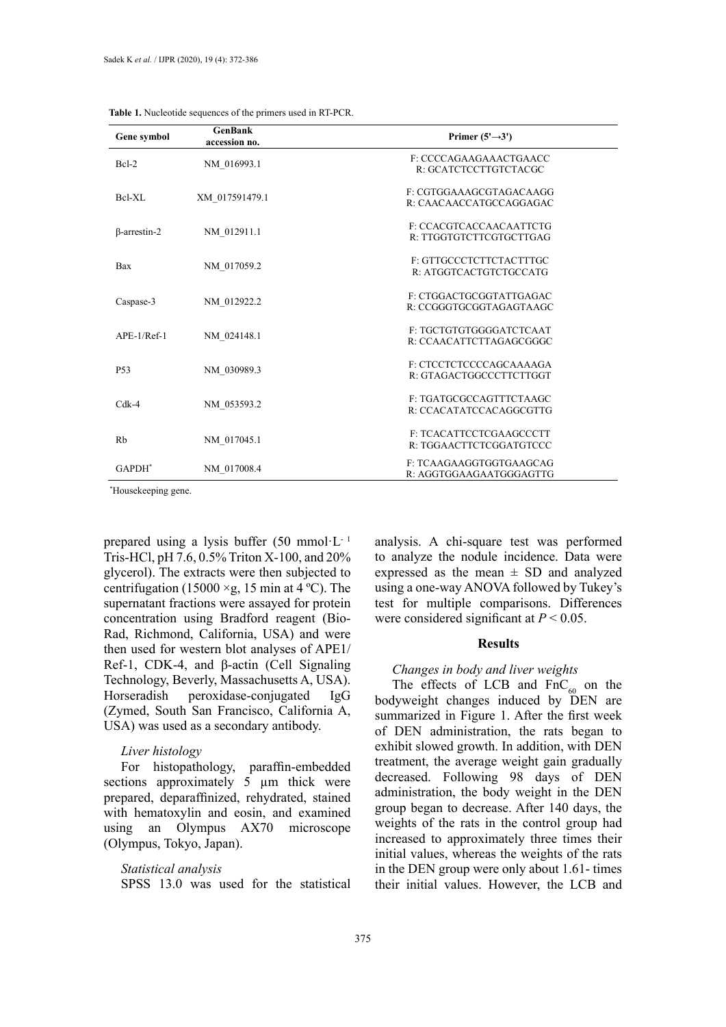| Gene symbol   | <b>GenBank</b><br>accession no. | Primer $(5' \rightarrow 3')$                              |
|---------------|---------------------------------|-----------------------------------------------------------|
| Bcl-2         | NM 016993.1                     | F: CCCCAGAAGAAACTGAACC<br>R: GCATCTCCTTGTCTACGC           |
| Bel-XL        | XM 017591479.1                  | F: CGTGGAAAGCGTAGACAAGG<br>R: CAACAACCATGCCAGGAGAC        |
| B-arrestin-2  | NM 012911.1                     | F: CCACGTCACCAACAATTCTG<br>R: TTGGTGTCTTCGTGCTTGAG        |
| Bax           | NM 017059.2                     | F: GTTGCCCTCTTCTACTTTGC<br>R: ATGGTCACTGTCTGCCATG         |
| Caspase-3     | NM 012922.2                     | F: CTGGACTGCGGTATTGAGAC<br>R: CCGGGTGCGGTAGAGTAAGC        |
| $APE-1/Ref-1$ | NM 024148.1                     | F: TGCTGTGTGGGGATCTCAAT<br>R: CCAACATTCTTAGAGCGGGC        |
| <b>P53</b>    | NM 030989.3                     | F: CTCCTCTCCCCAGCAAAAGA<br>R: GTAGACTGGCCCTTCTTGGT        |
| $Cdk-4$       | NM 053593.2                     | F: TGATGCGCCAGTTTCTAAGC<br>R: CCACATATCCACAGGCGTTG        |
| Rb            | NM 017045.1                     | <b>F: TCACATTCCTCGAAGCCCTT</b><br>R: TGGAACTTCTCGGATGTCCC |
| $GAPDH^*$     | NM 017008.4                     | F: TCAAGAAGGTGGTGAAGCAG<br>R: AGGTGGAAGAATGGGAGTTG        |

**Table 1.** Nucleotide sequences of the primers used in RT-PCR. **Table 1.** Nucleotide sequences of the primers used in RT-PCR.

\* Housekeeping gene. \* Housekeeping gene.

prepared using a lysis buffer  $(50 \text{ mmol·L}^{-1})$ Tris-HCl, pH 7.6, 0.5% Triton X-100, and 20% glycerol). The extracts were then subjected to centrifugation (15000  $\times$ g, 15 min at 4 °C). The supernatant fractions were assayed for protein concentration using Bradford reagent (Bio-Rad, Richmond, California, USA) and were then used for western blot analyses of APE1/ Ref-1, CDK-4, and β-actin (Cell Signaling Technology, Beverly, Massachusetts A, USA). Horseradish peroxidase-conjugated IgG (Zymed, South San Francisco, California A, USA) was used as a secondary antibody.

## *Liver histology*

For histopathology, paraffin-embedded sections approximately 5 um thick were prepared, deparaffinized, rehydrated, stained with hematoxylin and eosin, and examined using an Olympus AX70 microscope (Olympus, Tokyo, Japan).

#### *Statistical analysis*

SPSS 13.0 was used for the statistical

analysis. A chi-square test was performed to analyze the nodule incidence. Data were expressed as the mean  $\pm$  SD and analyzed using a one-way ANOVA followed by Tukey's test for multiple comparisons. Differences were considered significant at *P* < 0.05.

## **Results**

#### *Changes in body and liver weights*

The effects of LCB and  $FnC_{60}$  on the bodyweight changes induced by DEN are summarized in Figure 1. After the first week of DEN administration, the rats began to exhibit slowed growth. In addition, with DEN treatment, the average weight gain gradually decreased. Following 98 days of DEN administration, the body weight in the DEN group began to decrease. After 140 days, the weights of the rats in the control group had increased to approximately three times their initial values, whereas the weights of the rats in the DEN group were only about 1.61- times their initial values. However, the LCB and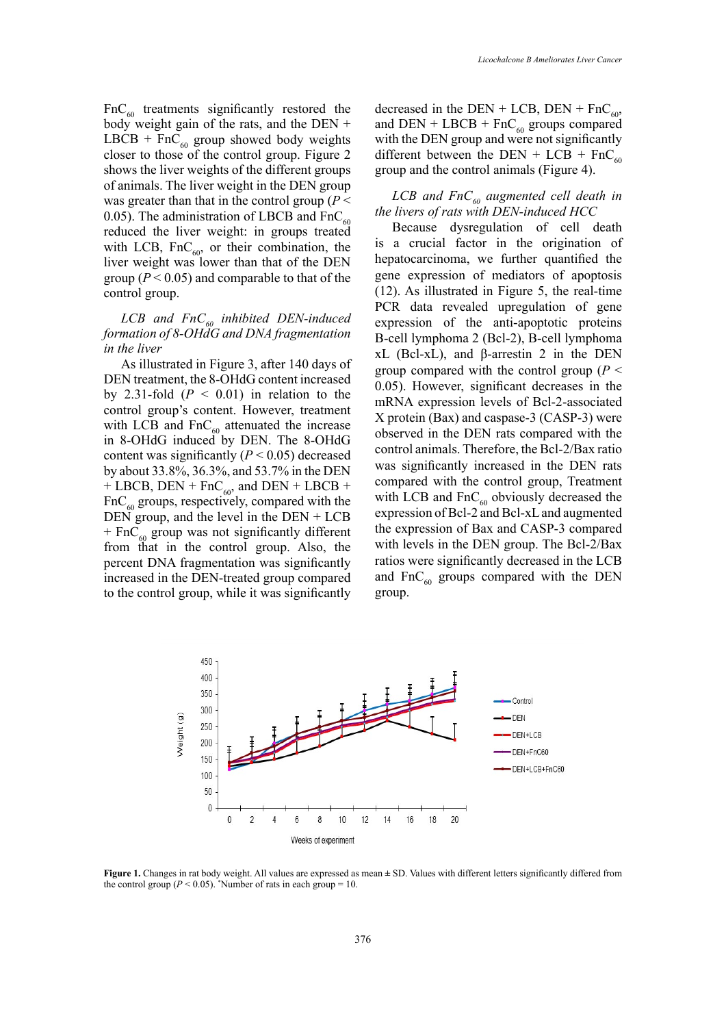$FnC_{60}$  treatments significantly restored the body weight gain of the rats, and the DEN + LBCB + FnC<sub>60</sub> group showed body weights closer to those of the control group. Figure 2 shows the liver weights of the different groups of animals. The liver weight in the DEN group was greater than that in the control group (*P* < 0.05). The administration of LBCB and  $FnC_{60}$ reduced the liver weight: in groups treated with LCB,  $FnC_{60}$ , or their combination, the liver weight was lower than that of the DEN group ( $P < 0.05$ ) and comparable to that of the control group.

## LCB and FnC<sub>60</sub> inhibited DEN-induced *formation of 8-OHdG and DNA fragmentation in the liver*

As illustrated in Figure 3, after 140 days of DEN treatment, the 8-OHdG content increased by 2.31-fold  $(P < 0.01)$  in relation to the control group's content. However, treatment with LCB and  $FnC_{60}$  attenuated the increase in 8-OHdG induced by DEN. The 8-OHdG content was significantly  $(P < 0.05)$  decreased by about 33.8%, 36.3%, and 53.7% in the DEN + LBCB, DEN + FnC<sub>60</sub>, and DEN + LBCB +  $FnC_{60}$  groups, respectively, compared with the DEN group, and the level in the DEN + LCB  $+$  FnC<sub>60</sub> group was not significantly different from that in the control group. Also, the percent DNA fragmentation was significantly increased in the DEN-treated group compared to the control group, while it was significantly

decreased in the DEN + LCB, DEN + FnC<sub>60</sub>, and DEN + LBCB +  $FnC_{60}$  groups compared with the DEN group and were not significantly different between the DEN + LCB + FnC<sub>60</sub> group and the control animals (Figure 4).

# $LCB$  and  $FnC_{60}$  augmented cell death in *the livers of rats with DEN-induced HCC*

Because dysregulation of cell death is a crucial factor in the origination of hepatocarcinoma, we further quantified the gene expression of mediators of apoptosis (12). As illustrated in Figure 5, the real-time PCR data revealed upregulation of gene expression of the anti-apoptotic proteins B-cell lymphoma 2 (Bcl-2), B-cell lymphoma xL (Bcl-xL), and β-arrestin 2 in the DEN group compared with the control group (*P* < 0.05). However, significant decreases in the mRNA expression levels of Bcl-2-associated X protein (Bax) and caspase-3 (CASP-3) were observed in the DEN rats compared with the control animals. Therefore, the Bcl-2/Bax ratio was significantly increased in the DEN rats compared with the control group, Treatment with LCB and  $FnC_{60}$  obviously decreased the expression of Bcl-2 and Bcl-xL and augmented the expression of Bax and CASP-3 compared with levels in the DEN group. The Bcl-2/Bax ratios were significantly decreased in the LCB and  $FnC_{60}$  groups compared with the DEN group.



Figure 1. Changes in rat body weight. All values are expressed as mean  $\pm$  SD. Values with different letters significantly differed from the control group ( $P < 0.05$ ). \*Number of rats in each group = 10.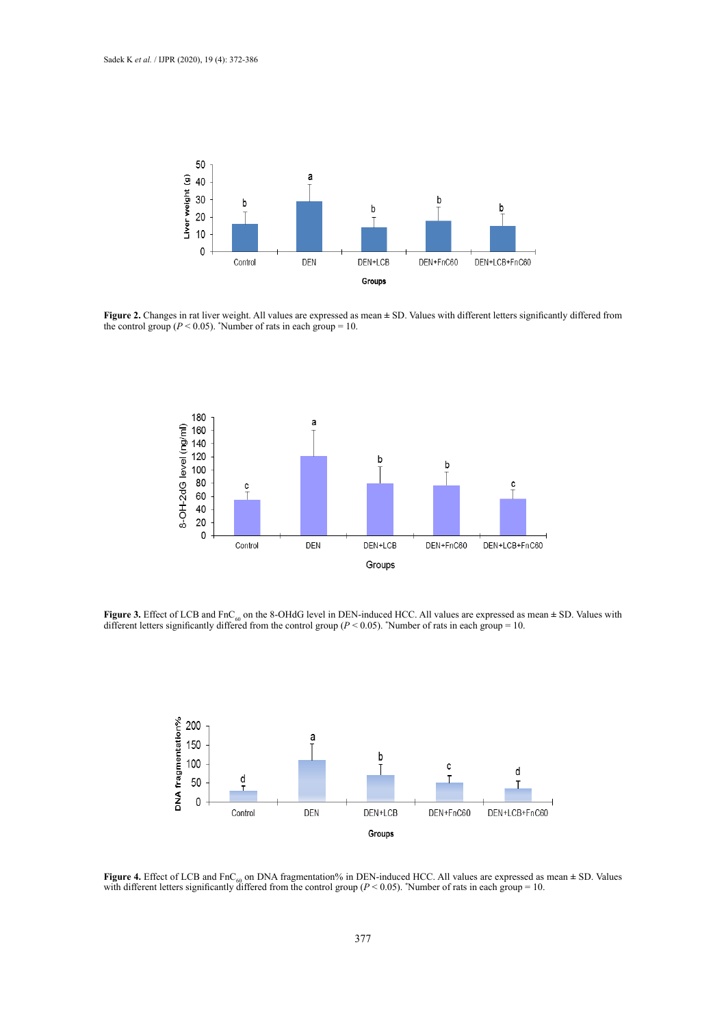

**Figure 2.** Changes in rat liver weight. All values are expressed as mean  $\pm$  SD. Values with different letters significantly differed from the control group  $(P < 0.05)$ . "Number of rats in each group = 10. the control group ( $P < 0.05$ ). *'*Number of rats in each group = 10.



**Figure 3.** Effect of LCB and FnC<sub>60</sub> on the 8-OHdG level in DEN-induced HCC. All values are expressed as mean  $\pm$  SD. Values with different letters significantly differed from the control group ( $P$  < 0.05). "Number of  $\frac{100}{100}$   $\frac{100}{100}$   $\frac{100}{100}$ 



**Figure 4.** Effect of LCB and FnC<sub>60</sub> on DNA fragmentation% in DEN-induced HCC. All values are expressed as mean  $\pm$  SD. Values with different letters significantly differed from the control group ( $P < 0.05$ ). "Number of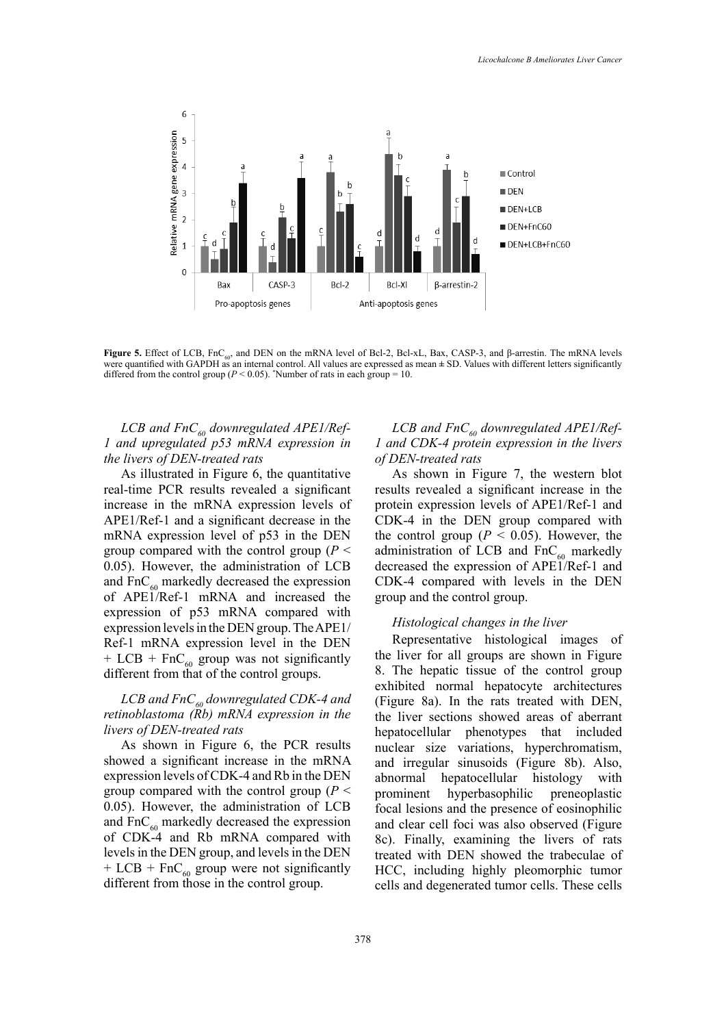

Figure 5. Effect of LCB,  $\text{FnC}_{60}$ , and DEN on the mRNA level of Bcl-2, Bcl-xL, Bax, CASP-3, and  $\beta$ -arrestin. The mRNA levels were quantified with GAPDH as an internal control. All values are expressed as mean  $\pm$  SD. Values with different letters significantly differed from the control group ( $P \le 0.05$ ). "Number of rats in each group = 10. differed from the control group ( $P < 0.05$ ). \*Number of rats in each group = 10.

# LCB and FnC<sub>60</sub> downregulated APE1/Ref-*1 and upregulated p53 mRNA expression in the livers of DEN-treated rats*

As illustrated in Figure 6, the quantitative real-time PCR results revealed a significant increase in the mRNA expression levels of APE1/Ref-1 and a significant decrease in the mRNA expression level of p53 in the DEN group compared with the control group (*P* < 0.05). However, the administration of LCB and  $FnC_{60}$  markedly decreased the expression of APE1/Ref-1 mRNA and increased the expression of p53 mRNA compared with expression levels in the DEN group. The APE1/ Ref-1 mRNA expression level in the DEN + LCB + FnC<sub>60</sub> group was not significantly different from that of the control groups.

# LCB and FnC<sub>60</sub> downregulated CDK-4 and *retinoblastoma (Rb) mRNA expression in the livers of DEN-treated rats*

As shown in Figure 6, the PCR results showed a significant increase in the mRNA expression levels of CDK-4 and Rb in the DEN group compared with the control group (*P* < 0.05). However, the administration of LCB and  $FnC_{60}$  markedly decreased the expression of CDK-4 and Rb mRNA compared with levels in the DEN group, and levels in the DEN + LCB + FnC<sub>60</sub> group were not significantly different from those in the control group.

## LCB and  $FnC_{\epsilon 0}$  downregulated APE1/Ref-*1 and CDK-4 protein expression in the livers of DEN-treated rats*

As shown in Figure 7, the western blot results revealed a significant increase in the protein expression levels of APE1/Ref-1 and CDK-4 in the DEN group compared with the control group ( $P < 0.05$ ). However, the administration of LCB and  $FnC_{60}$  markedly decreased the expression of APE1/Ref-1 and CDK-4 compared with levels in the DEN group and the control group.

## *Histological changes in the liver*

Representative histological images of the liver for all groups are shown in Figure 8. The hepatic tissue of the control group exhibited normal hepatocyte architectures (Figure 8a). In the rats treated with DEN, the liver sections showed areas of aberrant hepatocellular phenotypes that included nuclear size variations, hyperchromatism, and irregular sinusoids (Figure 8b). Also, abnormal hepatocellular histology with prominent hyperbasophilic preneoplastic focal lesions and the presence of eosinophilic and clear cell foci was also observed (Figure 8c). Finally, examining the livers of rats treated with DEN showed the trabeculae of HCC, including highly pleomorphic tumor cells and degenerated tumor cells. These cells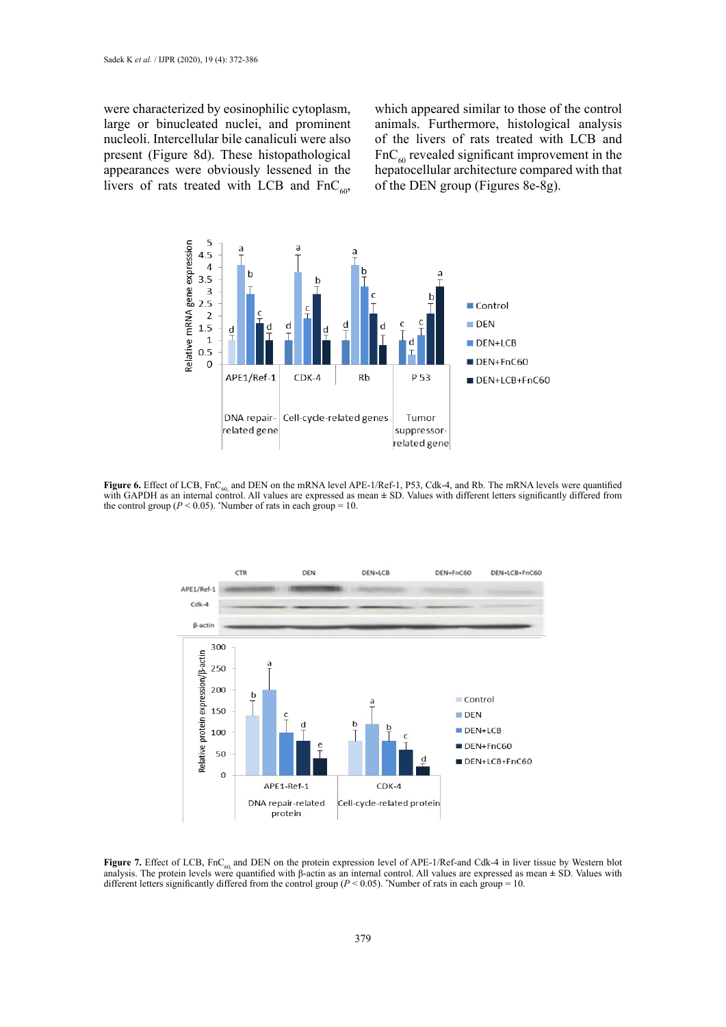were characterized by eosinophilic cytoplasm, large or binucleated nuclei, and prominent nucleoli. Intercellular bile canaliculi were also present (Figure 8d). These histopathological appearances were obviously lessened in the livers of rats treated with LCB and  $FnC_{60}$ ,

which appeared similar to those of the control animals. Furthermore, histological analysis of the livers of rats treated with LCB and  $FnC<sub>60</sub>$  revealed significant improvement in the hepatocellular architecture compared with that of the DEN group (Figures 8e-8g).



**Figure 6.** Effect of LCB, FnC<sub>60</sub> and DEN on the mRNA level APE-1/Ref-1, P53, Cdk-4, and Rb. The mRNA levels were quantified with GAPDH as an internal control. All values are expressed as mean ± SD. Values with different letters significantly differed from the control group  $(P < 0.05)$ . Number of rats in each group = 10.



**Figure 7.** Effect of LCB, FnC<sub>60</sub> and DEN on the protein expression level of APE-1/Ref-and Cdk-4 in liver tissue by Western blot analysis. The protein levels were quantified with  $\beta$ -actin as an internal control. All va different letters significantly differed from the control group ( $P < 0.05$ ). \*Number of rats in each group = 10.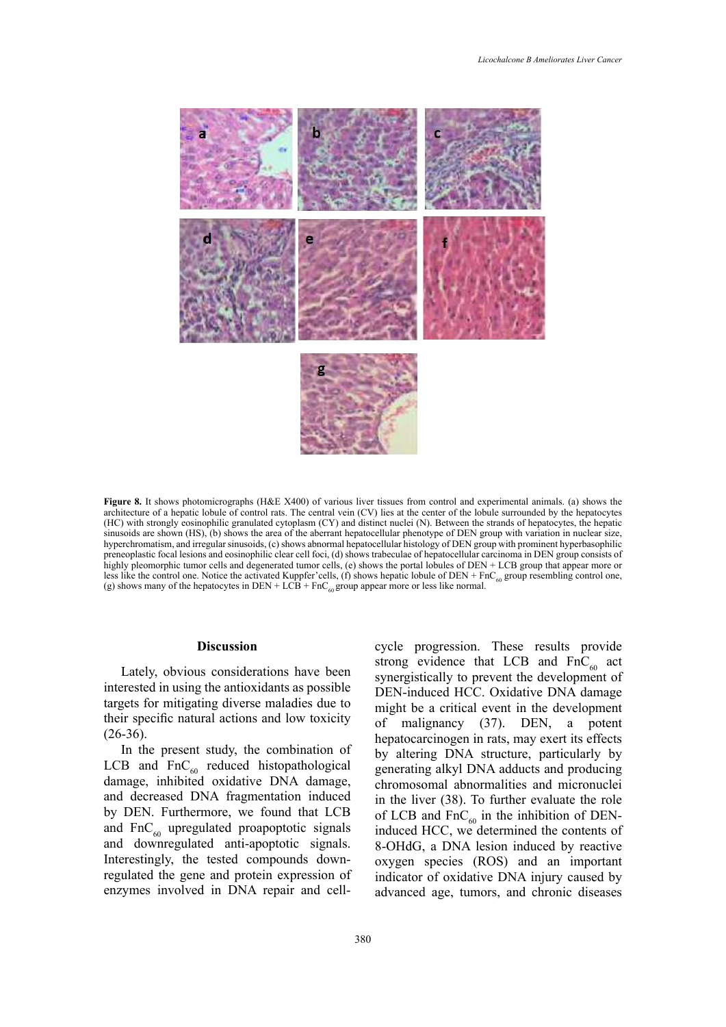

Figure 8. It shows photomicrographs (H&E X400) of various liver tissues from control and experimental animals. (a) shows the architecture of a hepatic lobule of control rats. The central vein (CV) lies at the center of the lobule surrounded by the hepatocytes (HC) with strongly eosinophilic granulated cytoplasm (CY) and distinct nuclei (N). Between the strands of hepatocytes, the hepatic sinusoids are shown  $(HS)$ , (b) shows the area of the aberrant hepatocellular phenotype of DEN group with variation in nuclear size, hyperchromatism, and irregular sinusoids, (c) shows abnormal hepatocellular histology of DEN group with prominent hyperbasophilic preneoplastic focal lesions and eosinophilic clear cell foci, (d) shows trabeculae of hepatocellular carcinoma in DEN group consists of highly pleomorphic tumor cells and degenerated tumor cells, (e) shows the portal lobules of DEN + LCB group that appear more or less like the control one. Notice the activated Kuppfer'cells,  $(f)$  shows hepatic lobule of DEN + FnC<sub>60</sub> group resembling control one, (g) shows many of the hepatocytes in DEN + LCB + FnC<sub>60</sub> group appear more or less like normal.

#### **Discussion**

Lately, obvious considerations have been interested in using the antioxidants as possible targets for mitigating diverse maladies due to their specific natural actions and low toxicity  $(26-36).$ 

In the present study, the combination of LCB and  $FnC_{60}$  reduced histopathological damage, inhibited oxidative DNA damage, and decreased DNA fragmentation induced by DEN. Furthermore, we found that LCB and  $FnC_{60}$  upregulated proapoptotic signals and downregulated anti-apoptotic signals. Interestingly, the tested compounds downregulated the gene and protein expression of enzymes involved in DNA repair and cell-

cycle progression. These results provide strong evidence that LCB and  $FnC<sub>60</sub>$  act synergistically to prevent the development of DEN-induced HCC. Oxidative DNA damage might be a critical event in the development of malignancy (37). DEN, a potent hepatocarcinogen in rats, may exert its effects by altering DNA structure, particularly by generating alkyl DNA adducts and producing chromosomal abnormalities and micronuclei in the liver (38). To further evaluate the role of LCB and  $\text{FnC}_{60}$  in the inhibition of DENinduced HCC, we determined the contents of 8-OHdG, a DNA lesion induced by reactive oxygen species (ROS) and an important indicator of oxidative DNA injury caused by advanced age, tumors, and chronic diseases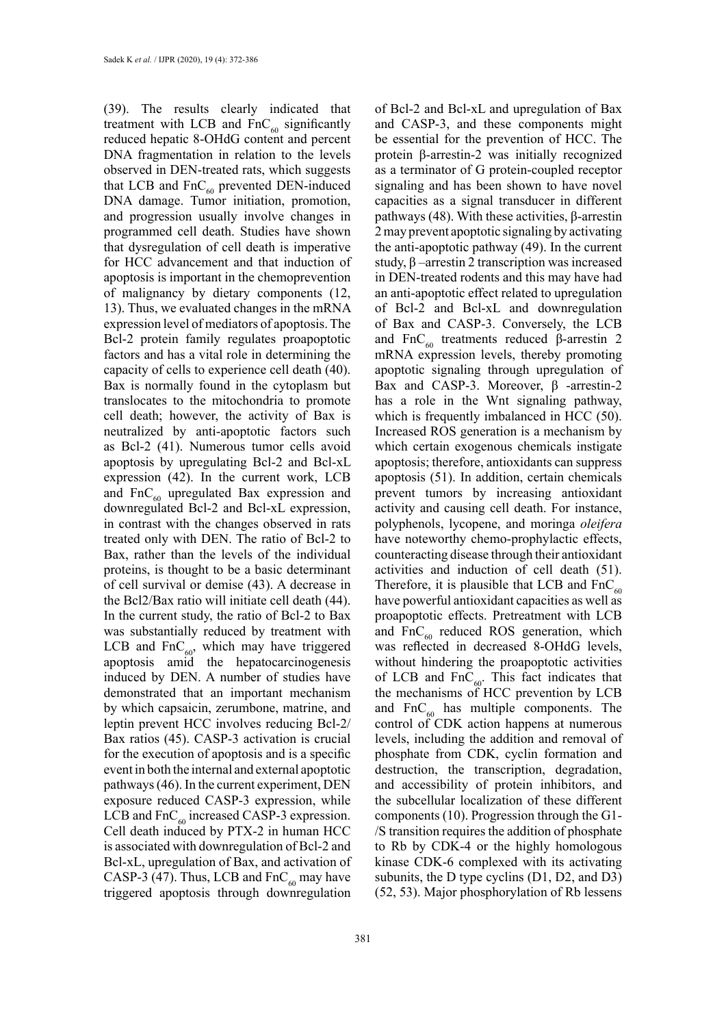(39). The results clearly indicated that treatment with LCB and  $FnC_{60}$  significantly reduced hepatic 8-OHdG content and percent DNA fragmentation in relation to the levels observed in DEN-treated rats, which suggests that LCB and  $FnC_{60}$  prevented DEN-induced DNA damage. Tumor initiation, promotion, and progression usually involve changes in programmed cell death. Studies have shown that dysregulation of cell death is imperative for HCC advancement and that induction of apoptosis is important in the chemoprevention of malignancy by dietary components (12, 13). Thus, we evaluated changes in the mRNA expression level of mediators of apoptosis. The Bcl-2 protein family regulates proapoptotic factors and has a vital role in determining the capacity of cells to experience cell death (40). Bax is normally found in the cytoplasm but translocates to the mitochondria to promote cell death; however, the activity of Bax is neutralized by anti-apoptotic factors such as Bcl-2 (41). Numerous tumor cells avoid apoptosis by upregulating Bcl-2 and Bcl-xL expression (42). In the current work, LCB and  $FnC_{60}$  upregulated Bax expression and downregulated Bcl-2 and Bcl-xL expression, in contrast with the changes observed in rats treated only with DEN. The ratio of Bcl-2 to Bax, rather than the levels of the individual proteins, is thought to be a basic determinant of cell survival or demise (43). A decrease in the Bcl2/Bax ratio will initiate cell death (44). In the current study, the ratio of Bcl-2 to Bax was substantially reduced by treatment with LCB and  $FnC_{60}$ , which may have triggered apoptosis amid the hepatocarcinogenesis induced by DEN. A number of studies have demonstrated that an important mechanism by which capsaicin, zerumbone, matrine, and leptin prevent HCC involves reducing Bcl-2/ Bax ratios (45). CASP-3 activation is crucial for the execution of apoptosis and is a specific event in both the internal and external apoptotic pathways (46). In the current experiment, DEN exposure reduced CASP-3 expression, while LCB and  $FnC_{60}$  increased CASP-3 expression. Cell death induced by PTX-2 in human HCC is associated with downregulation of Bcl-2 and Bcl-xL, upregulation of Bax, and activation of CASP-3 (47). Thus, LCB and  $FnC_{60}$  may have triggered apoptosis through downregulation

of Bcl-2 and Bcl-xL and upregulation of Bax and CASP-3, and these components might be essential for the prevention of HCC. The protein β-arrestin-2 was initially recognized as a terminator of G protein-coupled receptor signaling and has been shown to have novel capacities as a signal transducer in different pathways (48). With these activities, β-arrestin 2 may prevent apoptotic signaling by activating the anti-apoptotic pathway (49). In the current study, β –arrestin 2 transcription was increased in DEN-treated rodents and this may have had an anti-apoptotic effect related to upregulation of Bcl-2 and Bcl-xL and downregulation of Bax and CASP-3. Conversely, the LCB and FnC<sub>60</sub> treatments reduced β-arrestin 2 mRNA expression levels, thereby promoting apoptotic signaling through upregulation of Bax and CASP-3. Moreover, β -arrestin-2 has a role in the Wnt signaling pathway, which is frequently imbalanced in HCC (50). Increased ROS generation is a mechanism by which certain exogenous chemicals instigate apoptosis; therefore, antioxidants can suppress apoptosis (51). In addition, certain chemicals prevent tumors by increasing antioxidant activity and causing cell death. For instance, polyphenols, lycopene, and moringa *oleifera*  have noteworthy chemo-prophylactic effects, counteracting disease through their antioxidant activities and induction of cell death (51). Therefore, it is plausible that LCB and  $FnC_{60}$ have powerful antioxidant capacities as well as proapoptotic effects. Pretreatment with LCB and  $FnC_{60}$  reduced ROS generation, which was reflected in decreased 8-OHdG levels, without hindering the proapoptotic activities of LCB and  $FnC_{60}$ . This fact indicates that the mechanisms of HCC prevention by LCB and  $FnC_{60}$  has multiple components. The control of CDK action happens at numerous levels, including the addition and removal of phosphate from CDK, cyclin formation and destruction, the transcription, degradation, and accessibility of protein inhibitors, and the subcellular localization of these different components (10). Progression through the G1- /S transition requires the addition of phosphate to Rb by CDK-4 or the highly homologous kinase CDK-6 complexed with its activating subunits, the D type cyclins (D1, D2, and D3) (52, 53). Major phosphorylation of Rb lessens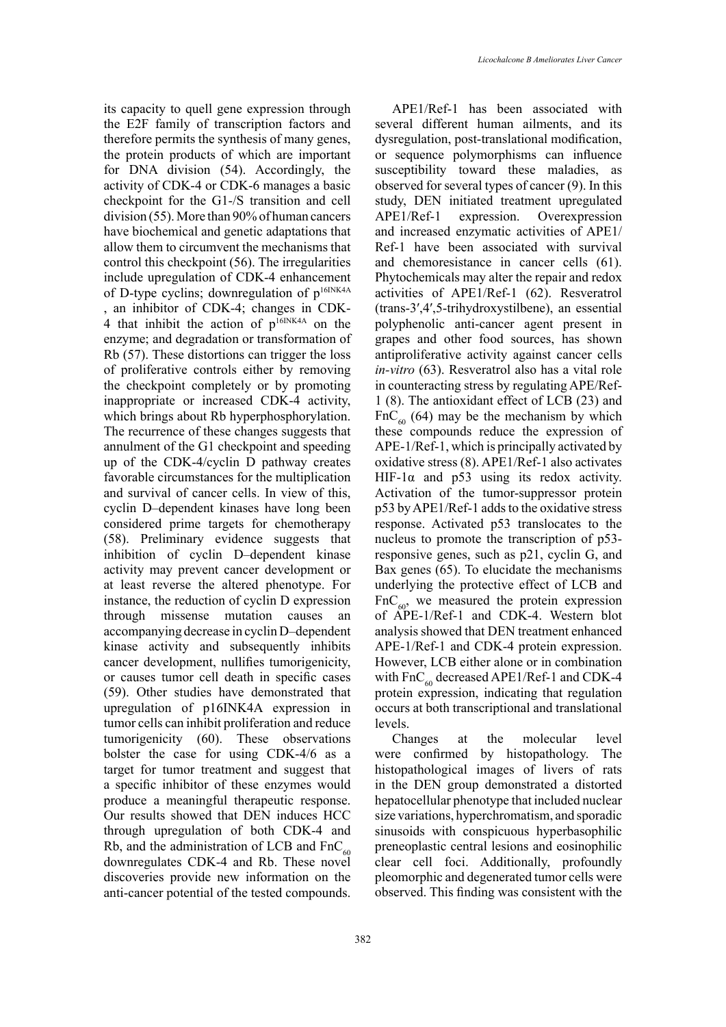its capacity to quell gene expression through the E2F family of transcription factors and therefore permits the synthesis of many genes, the protein products of which are important for DNA division (54). Accordingly, the activity of CDK-4 or CDK-6 manages a basic checkpoint for the G1-/S transition and cell division (55). More than 90% of human cancers have biochemical and genetic adaptations that allow them to circumvent the mechanisms that control this checkpoint (56). The irregularities include upregulation of CDK-4 enhancement of D-type cyclins; downregulation of  $p^{16INK4A}$ , an inhibitor of CDK-4; changes in CDK-4 that inhibit the action of  $p^{16INK4A}$  on the enzyme; and degradation or transformation of Rb (57). These distortions can trigger the loss of proliferative controls either by removing the checkpoint completely or by promoting inappropriate or increased CDK-4 activity, which brings about Rb hyperphosphorylation. The recurrence of these changes suggests that annulment of the G1 checkpoint and speeding up of the CDK-4/cyclin D pathway creates favorable circumstances for the multiplication and survival of cancer cells. In view of this, cyclin D–dependent kinases have long been considered prime targets for chemotherapy (58). Preliminary evidence suggests that inhibition of cyclin D–dependent kinase activity may prevent cancer development or at least reverse the altered phenotype. For instance, the reduction of cyclin D expression through missense mutation causes an accompanying decrease in cyclin D–dependent kinase activity and subsequently inhibits cancer development, nullifies tumorigenicity, or causes tumor cell death in specific cases (59). Other studies have demonstrated that upregulation of p16INK4A expression in tumor cells can inhibit proliferation and reduce tumorigenicity (60). These observations bolster the case for using CDK-4/6 as a target for tumor treatment and suggest that a specific inhibitor of these enzymes would produce a meaningful therapeutic response. Our results showed that DEN induces HCC through upregulation of both CDK-4 and Rb, and the administration of LCB and  $FnC_{60}$ downregulates CDK-4 and Rb. These novel discoveries provide new information on the anti-cancer potential of the tested compounds.

APE1/Ref-1 has been associated with several different human ailments, and its dysregulation, post-translational modification, or sequence polymorphisms can influence susceptibility toward these maladies, as observed for several types of cancer (9). In this study, DEN initiated treatment upregulated APE1/Ref-1 expression. Overexpression and increased enzymatic activities of APE1/ Ref-1 have been associated with survival and chemoresistance in cancer cells (61). Phytochemicals may alter the repair and redox activities of APE1/Ref-1 (62). Resveratrol (trans-3′,4′,5-trihydroxystilbene), an essential polyphenolic anti-cancer agent present in grapes and other food sources, has shown antiproliferative activity against cancer cells *in-vitro* (63). Resveratrol also has a vital role in counteracting stress by regulating APE/Ref-1 (8). The antioxidant effect of LCB (23) and  $FnC_{60}$  (64) may be the mechanism by which these compounds reduce the expression of APE-1/Ref-1, which is principally activated by oxidative stress (8). APE1/Ref-1 also activates HIF-1 $\alpha$  and p53 using its redox activity. Activation of the tumor-suppressor protein p53 by APE1/Ref-1 adds to the oxidative stress response. Activated p53 translocates to the nucleus to promote the transcription of p53 responsive genes, such as p21, cyclin G, and Bax genes (65). To elucidate the mechanisms underlying the protective effect of LCB and  $FnC_{60}$ , we measured the protein expression of APE-1/Ref-1 and CDK-4. Western blot analysis showed that DEN treatment enhanced APE-1/Ref-1 and CDK-4 protein expression. However, LCB either alone or in combination with  $FnC_{60}$  decreased APE1/Ref-1 and CDK-4 protein expression, indicating that regulation occurs at both transcriptional and translational levels.

Changes at the molecular level were confirmed by histopathology. The histopathological images of livers of rats in the DEN group demonstrated a distorted hepatocellular phenotype that included nuclear size variations, hyperchromatism, and sporadic sinusoids with conspicuous hyperbasophilic preneoplastic central lesions and eosinophilic clear cell foci. Additionally, profoundly pleomorphic and degenerated tumor cells were observed. This finding was consistent with the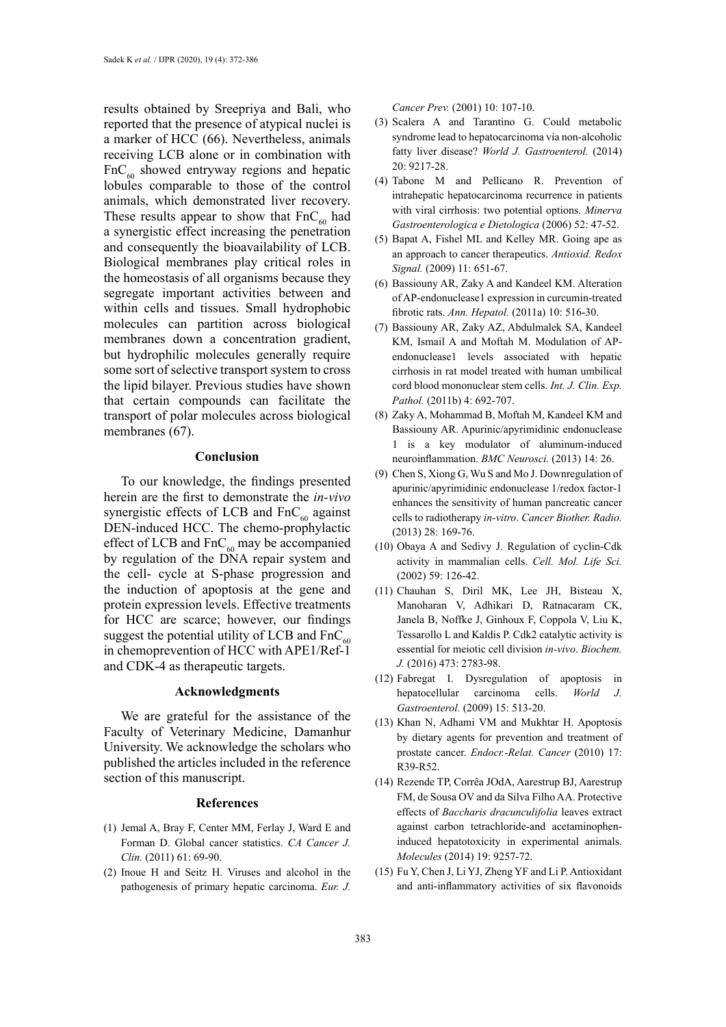results obtained by Sreepriya and Bali, who reported that the presence of atypical nuclei is a marker of HCC (66). Nevertheless, animals receiving LCB alone or in combination with  $FnC<sub>60</sub>$  showed entryway regions and hepatic lobules comparable to those of the control animals, which demonstrated liver recovery. These results appear to show that  $FnC_{60}$  had a synergistic effect increasing the penetration and consequently the bioavailability of LCB. Biological membranes play critical roles in the homeostasis of all organisms because they segregate important activities between and within cells and tissues. Small hydrophobic molecules can partition across biological membranes down a concentration gradient, but hydrophilic molecules generally require some sort of selective transport system to cross the lipid bilayer. Previous studies have shown that certain compounds can facilitate the transport of polar molecules across biological membranes (67).

#### **Conclusion**

To our knowledge, the findings presented herein are the first to demonstrate the *in-vivo* synergistic effects of LCB and  $FnC_{60}$  against DEN-induced HCC. The chemo-prophylactic effect of LCB and  $FnC_{60}$  may be accompanied by regulation of the DNA repair system and the cell- cycle at S-phase progression and the induction of apoptosis at the gene and protein expression levels. Effective treatments for HCC are scarce; however, our findings suggest the potential utility of LCB and  $FnC_{60}$ in chemoprevention of HCC with APE1/Ref-1 and CDK-4 as therapeutic targets.

## **Acknowledgments**

We are grateful for the assistance of the Faculty of Veterinary Medicine, Damanhur University. We acknowledge the scholars who published the articles included in the reference section of this manuscript.

#### **References**

- (1) Jemal A, Bray F, Center MM, Ferlay J, Ward E and Forman D. Global cancer statistics. *CA Cancer J. Clin.* (2011) 61: 69-90.
- (2) Inoue H and Seitz H. Viruses and alcohol in the pathogenesis of primary hepatic carcinoma. *Eur. J.*

*Cancer Prev.* (2001) 10: 107-10.

- (3) Scalera A and Tarantino G. Could metabolic syndrome lead to hepatocarcinoma via non-alcoholic fatty liver disease? World J. Gastroenterol. (2014) 20: 9217-28.
- (4) Tabone M and Pellicano R. Prevention of intrahepatic hepatocarcinoma recurrence in patients with viral cirrhosis: two potential options. *Minerva Gastroenterologica e Dietologica* (2006) 52: 47-52.
- (5) Bapat A, Fishel ML and Kelley MR. Going ape as an approach to cancer therapeutics. *Antioxid. Redox Signal.* (2009) 11: 651-67.
- (6) Bassiouny AR, Zaky A and Kandeel KM. Alteration of AP-endonuclease1 expression in curcumin-treated fibrotic rats. *Ann. Hepatol.* (2011a) 10: 516-30.
- (7) Bassiouny AR, Zaky AZ, Abdulmalek SA, Kandeel KM, Ismail A and Moftah M. Modulation of APendonuclease1 levels associated with hepatic cirrhosis in rat model treated with human umbilical cord blood mononuclear stem cells. *Int. J. Clin. Exp. Pathol.* (2011b) 4: 692-707.
- (8) Zaky A, Mohammad B, Moftah M, Kandeel KM and Bassiouny AR. Apurinic/apyrimidinic endonuclease 1 is a key modulator of aluminum-induced neuroinflammation. *BMC Neurosci.* (2013) 14: 26.
- (9) Chen S, Xiong G, Wu S and Mo J. Downregulation of apurinic/apyrimidinic endonuclease 1/redox factor-1 enhances the sensitivity of human pancreatic cancer cells to radiotherapy *in-vitro*. *Cancer Biother. Radio.* (2013) 28: 169-76.
- (10) Obaya A and Sedivy J. Regulation of cyclin-Cdk activity in mammalian cells. *Cell. Mol. Life Sci.* (2002) 59: 126-42.
- (11) Chauhan S, Diril MK, Lee JH, Bisteau X, Manoharan V, Adhikari D, Ratnacaram CK, Janela B, Noffke J, Ginhoux F, Coppola V, Liu K, Tessarollo L and Kaldis P. Cdk2 catalytic activity is essential for meiotic cell division *in-vivo*. *Biochem. J.* (2016) 473: 2783-98.
- (12) Fabregat I. Dysregulation of apoptosis in hepatocellular carcinoma cells. *World J. Gastroenterol.* (2009) 15: 513-20.
- (13) Khan N, Adhami VM and Mukhtar H. Apoptosis by dietary agents for prevention and treatment of prostate cancer. *Endocr.-Relat. Cancer* (2010) 17: R39-R52.
- (14) Rezende TP, Corrêa JOdA, Aarestrup BJ, Aarestrup FM, de Sousa OV and da Silva Filho AA. Protective effects of *Baccharis dracunculifolia* leaves extract against carbon tetrachloride-and acetaminopheninduced hepatotoxicity in experimental animals. *Molecules* (2014) 19: 9257-72.
- (15) Fu Y, Chen J, Li YJ, Zheng YF and Li P. Antioxidant and anti-inflammatory activities of six flavonoids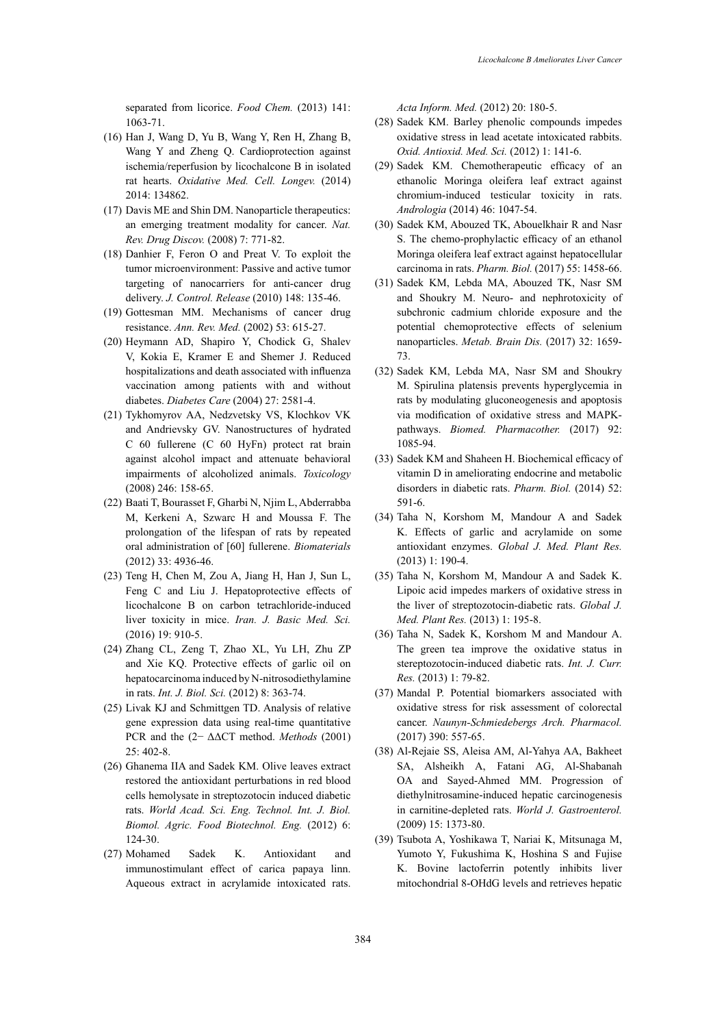separated from licorice. *Food Chem.* (2013) 141: 1063-71.

- (16) Han J, Wang D, Yu B, Wang Y, Ren H, Zhang B, Wang Y and Zheng Q. Cardioprotection against ischemia/reperfusion by licochalcone B in isolated rat hearts. *Oxidative Med. Cell. Longev.* (2014) 2014: 134862.
- (17) Davis ME and Shin DM. Nanoparticle therapeutics: an emerging treatment modality for cancer. *Nat. Rev. Drug Discov.* (2008) 7: 771-82.
- (18) Danhier F, Feron O and Preat V. To exploit the tumor microenvironment: Passive and active tumor targeting of nanocarriers for anti-cancer drug delivery. *J. Control. Release* (2010) 148: 135-46.
- (19) Gottesman MM. Mechanisms of cancer drug resistance. *Ann. Rev. Med.* (2002) 53: 615-27.
- (20) Heymann AD, Shapiro Y, Chodick G, Shalev V, Kokia E, Kramer E and Shemer J. Reduced hospitalizations and death associated with influenza vaccination among patients with and without diabetes. *Diabetes Care* (2004) 27: 2581-4.
- (21) Tykhomyrov AA, Nedzvetsky VS, Klochkov VK and Andrievsky GV. Nanostructures of hydrated C 60 fullerene (C 60 HyFn) protect rat brain against alcohol impact and attenuate behavioral impairments of alcoholized animals. *Toxicology* (2008) 246: 158-65.
- (22) Baati T, Bourasset F, Gharbi N, Njim L, Abderrabba M, Kerkeni A, Szwarc H and Moussa F. The prolongation of the lifespan of rats by repeated oral administration of [60] fullerene. *Biomaterials* (2012) 33: 4936-46.
- (23) Teng H, Chen M, Zou A, Jiang H, Han J, Sun L, Feng C and Liu J. Hepatoprotective effects of licochalcone B on carbon tetrachloride-induced liver toxicity in mice. *Iran. J. Basic Med. Sci.* (2016) 19: 910-5.
- (24) Zhang CL, Zeng T, Zhao XL, Yu LH, Zhu ZP and Xie KQ. Protective effects of garlic oil on hepatocarcinoma induced by N-nitrosodiethylamine in rats. *Int. J. Biol. Sci.* (2012) 8: 363-74.
- (25) Livak KJ and Schmittgen TD. Analysis of relative gene expression data using real-time quantitative PCR and the (2− ΔΔCT method. *Methods* (2001) 25: 402-8.
- (26) Ghanema IIA and Sadek KM. Olive leaves extract restored the antioxidant perturbations in red blood cells hemolysate in streptozotocin induced diabetic rats. *World Acad. Sci. Eng. Technol. Int. J. Biol. Biomol. Agric. Food Biotechnol. Eng.* (2012) 6: 124-30.
- (27) Mohamed Sadek K. Antioxidant and immunostimulant effect of carica papaya linn. Aqueous extract in acrylamide intoxicated rats.

*Acta Inform. Med.* (2012) 20: 180-5.

- (28) Sadek KM. Barley phenolic compounds impedes oxidative stress in lead acetate intoxicated rabbits. *Oxid. Antioxid. Med. Sci.* (2012) 1: 141-6.
- (29) Sadek KM. Chemotherapeutic efficacy of an ethanolic Moringa oleifera leaf extract against chromium-induced testicular toxicity in rats. *Andrologia* (2014) 46: 1047-54.
- (30) Sadek KM, Abouzed TK, Abouelkhair R and Nasr S. The chemo-prophylactic efficacy of an ethanol Moringa oleifera leaf extract against hepatocellular carcinoma in rats. *Pharm. Biol.* (2017) 55: 1458-66.
- (31) Sadek KM, Lebda MA, Abouzed TK, Nasr SM and Shoukry M. Neuro- and nephrotoxicity of subchronic cadmium chloride exposure and the potential chemoprotective effects of selenium nanoparticles. *Metab. Brain Dis.* (2017) 32: 1659- 73.
- (32) Sadek KM, Lebda MA, Nasr SM and Shoukry M. Spirulina platensis prevents hyperglycemia in rats by modulating gluconeogenesis and apoptosis via modification of oxidative stress and MAPKpathways. *Biomed. Pharmacother.* (2017) 92: 1085-94.
- (33) Sadek KM and Shaheen H. Biochemical efficacy of vitamin D in ameliorating endocrine and metabolic disorders in diabetic rats. *Pharm. Biol.* (2014) 52: 591-6.
- (34) Taha N, Korshom M, Mandour A and Sadek K. Effects of garlic and acrylamide on some antioxidant enzymes. *Global J. Med. Plant Res.* (2013) 1: 190-4.
- (35) Taha N, Korshom M, Mandour A and Sadek K. Lipoic acid impedes markers of oxidative stress in the liver of streptozotocin-diabetic rats. *Global J. Med. Plant Res.* (2013) 1: 195-8.
- (36) Taha N, Sadek K, Korshom M and Mandour A. The green tea improve the oxidative status in stereptozotocin-induced diabetic rats. *Int. J. Curr. Res.* (2013) 1: 79-82.
- (37) Mandal P. Potential biomarkers associated with oxidative stress for risk assessment of colorectal cancer. *Naunyn-Schmiedebergs Arch. Pharmacol.* (2017) 390: 557-65.
- (38) Al-Rejaie SS, Aleisa AM, Al-Yahya AA, Bakheet SA, Alsheikh A, Fatani AG, Al-Shabanah OA and Sayed-Ahmed MM. Progression of diethylnitrosamine-induced hepatic carcinogenesis in carnitine-depleted rats. *World J. Gastroenterol.* (2009) 15: 1373-80.
- (39) Tsubota A, Yoshikawa T, Nariai K, Mitsunaga M, Yumoto Y, Fukushima K, Hoshina S and Fujise K. Bovine lactoferrin potently inhibits liver mitochondrial 8-OHdG levels and retrieves hepatic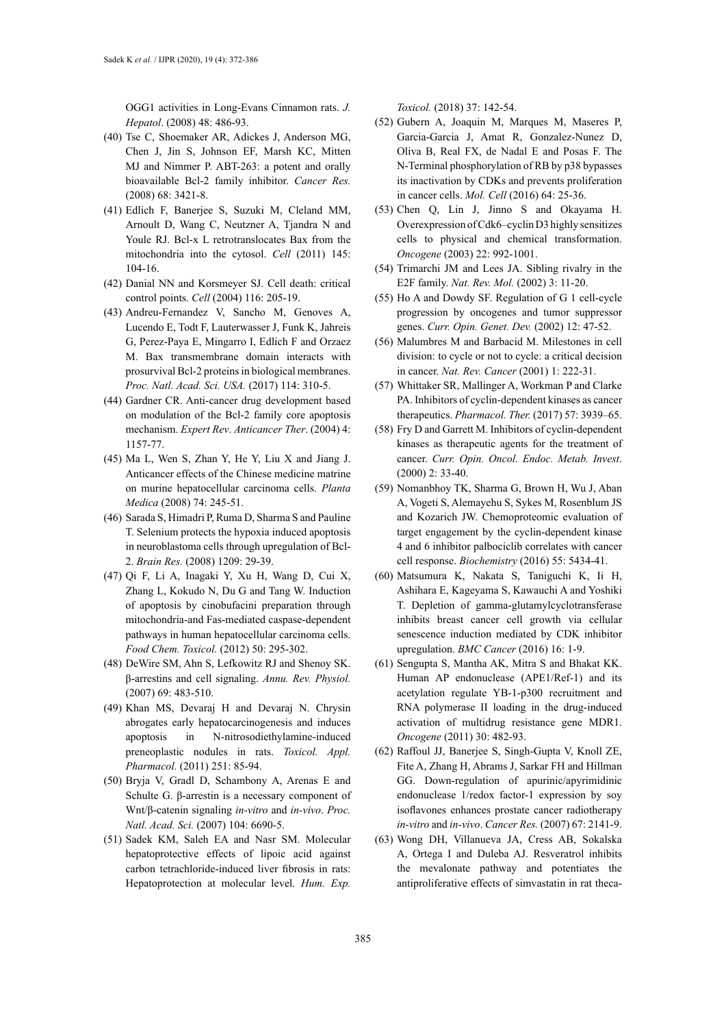OGG1 activities in Long-Evans Cinnamon rats. *J. Hepatol*. (2008) 48: 486-93.

- (40) Tse C, Shoemaker AR, Adickes J, Anderson MG, Chen J, Jin S, Johnson EF, Marsh KC, Mitten MJ and Nimmer P. ABT-263: a potent and orally bioavailable Bcl-2 family inhibitor. *Cancer Res.* (2008) 68: 3421-8.
- (41) Edlich F, Banerjee S, Suzuki M, Cleland MM, Arnoult D, Wang C, Neutzner A, Tjandra N and Youle RJ. Bcl-x L retrotranslocates Bax from the mitochondria into the cytosol. *Cell* (2011) 145: 104-16.
- (42) Danial NN and Korsmeyer SJ. Cell death: critical control points. *Cell* (2004) 116: 205-19.
- (43) Andreu-Fernandez V, Sancho M, Genoves A, Lucendo E, Todt F, Lauterwasser J, Funk K, Jahreis G, Perez-Paya E, Mingarro I, Edlich F and Orzaez M. Bax transmembrane domain interacts with prosurvival Bcl-2 proteins in biological membranes. *Proc. Natl. Acad. Sci. USA.* (2017) 114: 310-5.
- (44) Gardner CR. Anti-cancer drug development based on modulation of the Bcl-2 family core apoptosis mechanism. *Expert Rev*. *Anticancer Ther*. (2004) 4: 1157-77.
- (45) Ma L, Wen S, Zhan Y, He Y, Liu X and Jiang J. Anticancer effects of the Chinese medicine matrine on murine hepatocellular carcinoma cells. *Planta Medica* (2008) 74: 245-51.
- (46) Sarada S, Himadri P, Ruma D, Sharma S and Pauline T. Selenium protects the hypoxia induced apoptosis in neuroblastoma cells through upregulation of Bcl-2. *Brain Res.* (2008) 1209: 29-39.
- (47) Qi F, Li A, Inagaki Y, Xu H, Wang D, Cui X, Zhang L, Kokudo N, Du G and Tang W. Induction of apoptosis by cinobufacini preparation through mitochondria-and Fas-mediated caspase-dependent pathways in human hepatocellular carcinoma cells. *Food Chem. Toxicol.* (2012) 50: 295-302.
- (48) DeWire SM, Ahn S, Lefkowitz RJ and Shenoy SK. β-arrestins and cell signaling. *Annu. Rev. Physiol.* (2007) 69: 483-510.
- (49) Khan MS, Devaraj H and Devaraj N. Chrysin abrogates early hepatocarcinogenesis and induces apoptosis in N-nitrosodiethylamine-induced preneoplastic nodules in rats. *Toxicol. Appl. Pharmacol.* (2011) 251: 85-94.
- (50) Bryja V, Gradl D, Schambony A, Arenas E and Schulte G. β-arrestin is a necessary component of Wnt/β-catenin signaling *in-vitro* and *in-vivo*. *Proc. Natl. Acad. Sci.* (2007) 104: 6690-5.
- (51) Sadek KM, Saleh EA and Nasr SM. Molecular hepatoprotective effects of lipoic acid against carbon tetrachloride-induced liver fibrosis in rats: Hepatoprotection at molecular level. *Hum. Exp.*

*Toxicol.* (2018) 37: 142-54.

- (52) Gubern A, Joaquin M, Marques M, Maseres P, Garcia-Garcia J, Amat R, Gonzalez-Nunez D, Oliva B, Real FX, de Nadal E and Posas F. The N-Terminal phosphorylation of RB by p38 bypasses its inactivation by CDKs and prevents proliferation in cancer cells. *Mol. Cell* (2016) 64: 25-36.
- (53) Chen Q, Lin J, Jinno S and Okayama H. Overexpression of Cdk6–cyclin D3 highly sensitizes cells to physical and chemical transformation. *Oncogene* (2003) 22: 992-1001.
- (54) Trimarchi JM and Lees JA. Sibling rivalry in the E2F family. *Nat. Rev. Mol.* (2002) 3: 11-20.
- (55) Ho A and Dowdy SF. Regulation of G 1 cell-cycle progression by oncogenes and tumor suppressor genes. *Curr. Opin. Genet. Dev.* (2002) 12: 47-52.
- (56) Malumbres M and Barbacid M. Milestones in cell division: to cycle or not to cycle: a critical decision in cancer. *Nat. Rev. Cancer* (2001) 1: 222-31.
- (57) Whittaker SR, Mallinger A, Workman P and Clarke PA. Inhibitors of cyclin-dependent kinases as cancer therapeutics. *Pharmacol. Ther.* (2017) 57: 3939–65.
- (58) Fry D and Garrett M. Inhibitors of cyclin-dependent kinases as therapeutic agents for the treatment of cancer. *Curr. Opin. Oncol. Endoc. Metab. Invest*. (2000) 2: 33-40.
- (59) Nomanbhoy TK, Sharma G, Brown H, Wu J, Aban A, Vogeti S, Alemayehu S, Sykes M, Rosenblum JS and Kozarich JW. Chemoproteomic evaluation of target engagement by the cyclin-dependent kinase 4 and 6 inhibitor palbociclib correlates with cancer cell response. *Biochemistry* (2016) 55: 5434-41.
- (60) Matsumura K, Nakata S, Taniguchi K, Ii H, Ashihara E, Kageyama S, Kawauchi A and Yoshiki T. Depletion of gamma-glutamylcyclotransferase inhibits breast cancer cell growth via cellular senescence induction mediated by CDK inhibitor upregulation. *BMC Cancer* (2016) 16: 1-9.
- (61) Sengupta S, Mantha AK, Mitra S and Bhakat KK. Human AP endonuclease (APE1/Ref-1) and its acetylation regulate YB-1-p300 recruitment and RNA polymerase II loading in the drug-induced activation of multidrug resistance gene MDR1. *Oncogene* (2011) 30: 482-93.
- (62) Raffoul JJ, Banerjee S, Singh-Gupta V, Knoll ZE, Fite A, Zhang H, Abrams J, Sarkar FH and Hillman GG. Down-regulation of apurinic/apyrimidinic endonuclease 1/redox factor-1 expression by soy isoflavones enhances prostate cancer radiotherapy *in-vitro* and *in-vivo*. *Cancer Res.* (2007) 67: 2141-9.
- (63) Wong DH, Villanueva JA, Cress AB, Sokalska A, Ortega I and Duleba AJ. Resveratrol inhibits the mevalonate pathway and potentiates the antiproliferative effects of simvastatin in rat theca-